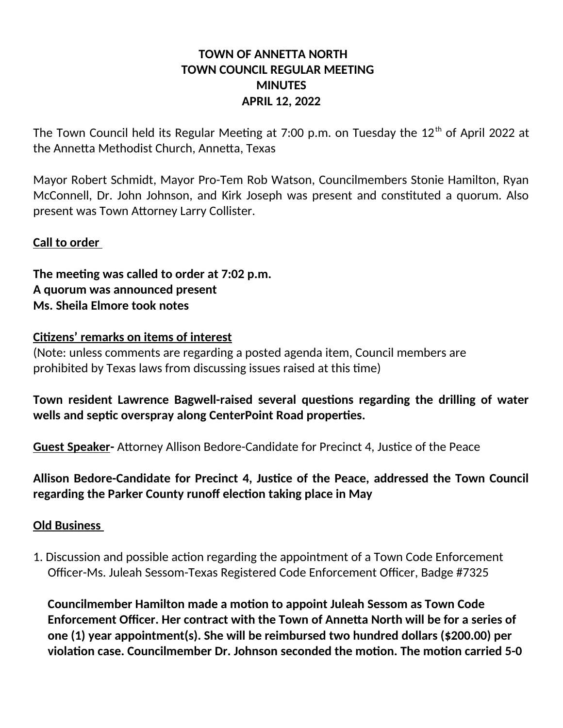## **TOWN OF ANNETTA NORTH TOWN COUNCIL REGULAR MEETING MINUTES APRIL 12, 2022**

The Town Council held its Regular Meeting at 7:00 p.m. on Tuesday the  $12<sup>th</sup>$  of April 2022 at the Annetta Methodist Church, Annetta, Texas

Mayor Robert Schmidt, Mayor Pro-Tem Rob Watson, Councilmembers Stonie Hamilton, Ryan McConnell, Dr. John Johnson, and Kirk Joseph was present and constituted a quorum. Also present was Town Attorney Larry Collister.

### **Call to order**

**The meeting was called to order at 7:02 p.m. A quorum was announced present Ms. Sheila Elmore took notes**

#### **Citizens' remarks on items of interest**

(Note: unless comments are regarding a posted agenda item, Council members are prohibited by Texas laws from discussing issues raised at this time)

# **Town resident Lawrence Bagwell-raised several questions regarding the drilling of water wells and septic overspray along CenterPoint Road properties.**

**Guest Speaker-** Attorney Allison Bedore-Candidate for Precinct 4, Justice of the Peace

## **Allison Bedore-Candidate for Precinct 4, Justice of the Peace, addressed the Town Council regarding the Parker County runoff election taking place in May**

#### **Old Business**

1. Discussion and possible action regarding the appointment of a Town Code Enforcement Officer-Ms. Juleah Sessom-Texas Registered Code Enforcement Officer, Badge #7325

 **Councilmember Hamilton made a motion to appoint Juleah Sessom as Town Code Enforcement Officer. Her contract with the Town of Annetta North will be for a series of one (1) year appointment(s). She will be reimbursed two hundred dollars (\$200.00) per violation case. Councilmember Dr. Johnson seconded the motion. The motion carried 5-0**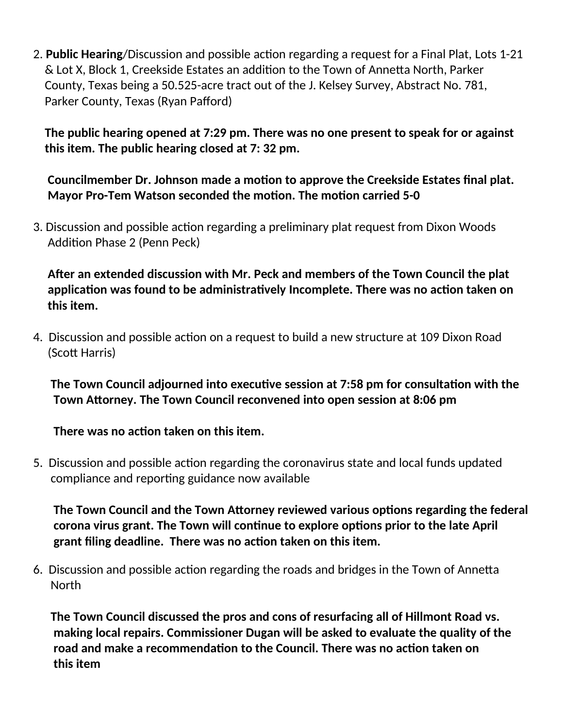2. **Public Hearing**/Discussion and possible action regarding a request for a Final Plat, Lots 1-21 & Lot X, Block 1, Creekside Estates an addition to the Town of Annetta North, Parker County, Texas being a 50.525-acre tract out of the J. Kelsey Survey, Abstract No. 781, Parker County, Texas (Ryan Pafford)

 **The public hearing opened at 7:29 pm. There was no one present to speak for or against this item. The public hearing closed at 7: 32 pm.**

 **Councilmember Dr. Johnson made a motion to approve the Creekside Estates final plat. Mayor Pro-Tem Watson seconded the motion. The motion carried 5-0** 

3. Discussion and possible action regarding a preliminary plat request from Dixon Woods Addition Phase 2 (Penn Peck)

 **After an extended discussion with Mr. Peck and members of the Town Council the plat application was found to be administratively Incomplete. There was no action taken on this item.**

4. Discussion and possible action on a request to build a new structure at 109 Dixon Road (Scott Harris)

 **The Town Council adjourned into executive session at 7:58 pm for consultation with the Town Attorney. The Town Council reconvened into open session at 8:06 pm**

**There was no action taken on this item.**

5. Discussion and possible action regarding the coronavirus state and local funds updated compliance and reporting guidance now available

 **The Town Council and the Town Attorney reviewed various options regarding the federal corona virus grant. The Town will continue to explore options prior to the late April grant filing deadline. There was no action taken on this item.**

6. Discussion and possible action regarding the roads and bridges in the Town of Annetta **North** 

 **The Town Council discussed the pros and cons of resurfacing all of Hillmont Road vs. making local repairs. Commissioner Dugan will be asked to evaluate the quality of the road and make a recommendation to the Council. There was no action taken on this item**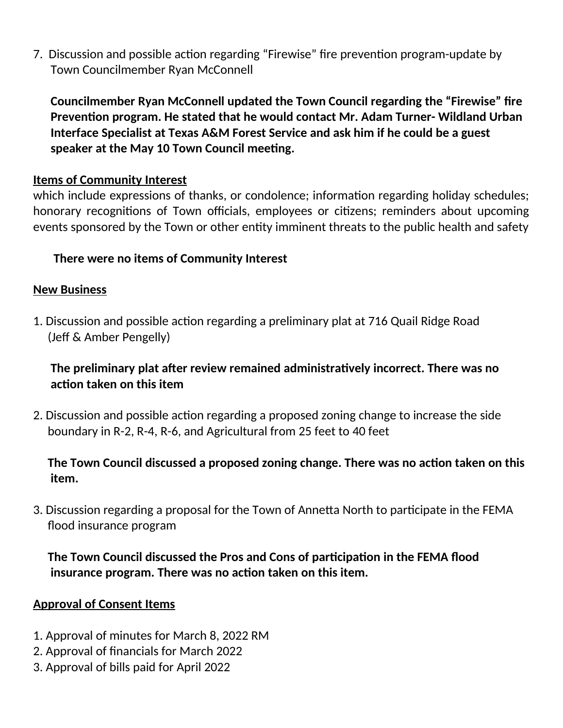7. Discussion and possible action regarding "Firewise" fire prevention program-update by Town Councilmember Ryan McConnell

 **Councilmember Ryan McConnell updated the Town Council regarding the "Firewise" fire Prevention program. He stated that he would contact Mr. Adam Turner- Wildland Urban Interface Specialist at Texas A&M Forest Service and ask him if he could be a guest speaker at the May 10 Town Council meeting.**

## **Items of Community Interest**

which include expressions of thanks, or condolence; information regarding holiday schedules; honorary recognitions of Town officials, employees or citizens; reminders about upcoming events sponsored by the Town or other entity imminent threats to the public health and safety

## **There were no items of Community Interest**

## **New Business**

1. Discussion and possible action regarding a preliminary plat at 716 Quail Ridge Road (Jeff & Amber Pengelly)

 **The preliminary plat after review remained administratively incorrect. There was no action taken on this item** 

2. Discussion and possible action regarding a proposed zoning change to increase the side boundary in R-2, R-4, R-6, and Agricultural from 25 feet to 40 feet

 **The Town Council discussed a proposed zoning change. There was no action taken on this item.**

3. Discussion regarding a proposal for the Town of Annetta North to participate in the FEMA flood insurance program

 **The Town Council discussed the Pros and Cons of participation in the FEMA flood insurance program. There was no action taken on this item.**

## **Approval of Consent Items**

- 1. Approval of minutes for March 8, 2022 RM
- 2. Approval of financials for March 2022
- 3. Approval of bills paid for April 2022